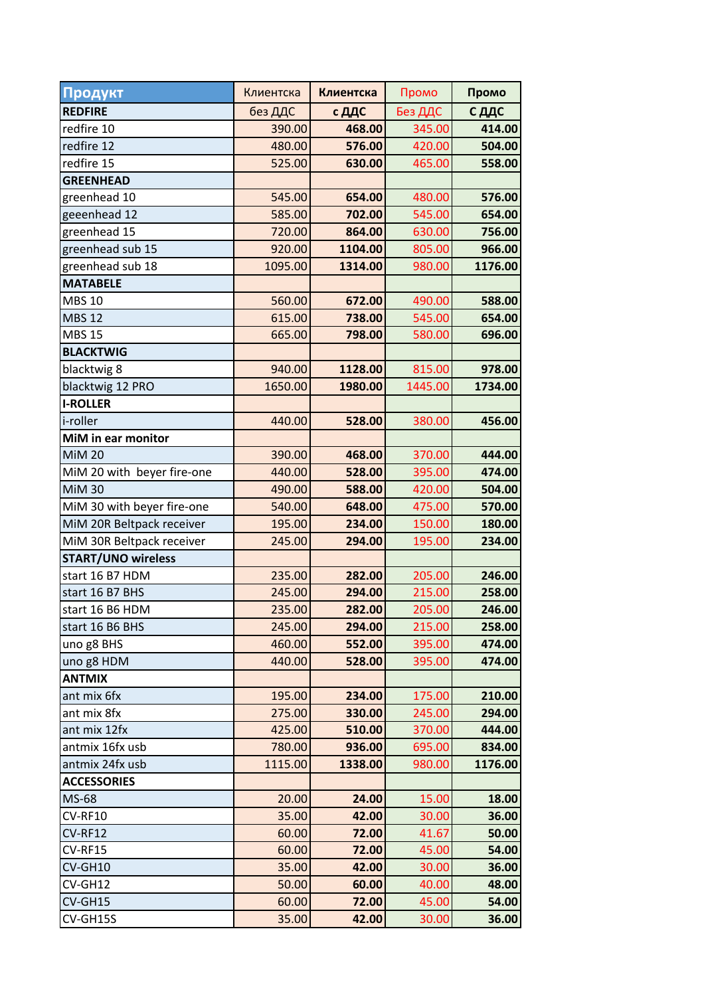| Продукт                    | Клиентска | Клиентска | Промо   | Промо   |
|----------------------------|-----------|-----------|---------|---------|
| <b>REDFIRE</b>             | без ДДС   | с ДДС     | Без ДДС | С ДДС   |
| redfire 10                 | 390.00    | 468.00    | 345.00  | 414.00  |
| redfire 12                 | 480.00    | 576.00    | 420.00  | 504.00  |
| redfire 15                 | 525.00    | 630.00    | 465.00  | 558.00  |
| <b>GREENHEAD</b>           |           |           |         |         |
| greenhead 10               | 545.00    | 654.00    | 480.00  | 576.00  |
| geeenhead 12               | 585.00    | 702.00    | 545.00  | 654.00  |
| greenhead 15               | 720.00    | 864.00    | 630.00  | 756.00  |
| greenhead sub 15           | 920.00    | 1104.00   | 805.00  | 966.00  |
| greenhead sub 18           | 1095.00   | 1314.00   | 980.00  | 1176.00 |
| <b>MATABELE</b>            |           |           |         |         |
| <b>MBS 10</b>              | 560.00    | 672.00    | 490.00  | 588.00  |
| <b>MBS 12</b>              | 615.00    | 738.00    | 545.00  | 654.00  |
| <b>MBS 15</b>              | 665.00    | 798.00    | 580.00  | 696.00  |
| <b>BLACKTWIG</b>           |           |           |         |         |
| blacktwig 8                | 940.00    | 1128.00   | 815.00  | 978.00  |
| blacktwig 12 PRO           | 1650.00   | 1980.00   | 1445.00 | 1734.00 |
| <b>I-ROLLER</b>            |           |           |         |         |
| i-roller                   | 440.00    | 528.00    | 380.00  | 456.00  |
| MiM in ear monitor         |           |           |         |         |
| <b>MiM 20</b>              | 390.00    | 468.00    | 370.00  | 444.00  |
| MiM 20 with beyer fire-one | 440.00    | 528.00    | 395.00  | 474.00  |
| <b>MiM30</b>               | 490.00    | 588.00    | 420.00  | 504.00  |
| MiM 30 with beyer fire-one | 540.00    | 648.00    | 475.00  | 570.00  |
| MiM 20R Beltpack receiver  | 195.00    | 234.00    | 150.00  | 180.00  |
| MiM 30R Beltpack receiver  | 245.00    | 294.00    | 195.00  | 234.00  |
| <b>START/UNO wireless</b>  |           |           |         |         |
| start 16 B7 HDM            | 235.00    | 282.00    | 205.00  | 246.00  |
| start 16 B7 BHS            | 245.00    | 294.00    | 215.00  | 258.00  |
| start 16 B6 HDM            | 235.00    | 282.00    | 205.00  | 246.00  |
| start 16 B6 BHS            | 245.00    | 294.00    | 215.00  | 258.00  |
| uno g8 BHS                 | 460.00    | 552.00    | 395.00  | 474.00  |
| uno g8 HDM                 | 440.00    | 528.00    | 395.00  | 474.00  |
| <b>ANTMIX</b>              |           |           |         |         |
| ant mix 6fx                | 195.00    | 234.00    | 175.00  | 210.00  |
| ant mix 8fx                | 275.00    | 330.00    | 245.00  | 294.00  |
| ant mix 12fx               | 425.00    | 510.00    | 370.00  | 444.00  |
| antmix 16fx usb            | 780.00    | 936.00    | 695.00  | 834.00  |
| antmix 24fx usb            | 1115.00   | 1338.00   | 980.00  | 1176.00 |
| <b>ACCESSORIES</b>         |           |           |         |         |
| MS-68                      | 20.00     | 24.00     | 15.00   | 18.00   |
| CV-RF10                    | 35.00     | 42.00     | 30.00   | 36.00   |
| CV-RF12                    | 60.00     | 72.00     | 41.67   | 50.00   |
| CV-RF15                    | 60.00     | 72.00     | 45.00   | 54.00   |
| CV-GH10                    | 35.00     | 42.00     | 30.00   | 36.00   |
| CV-GH12                    | 50.00     | 60.00     | 40.00   | 48.00   |
| CV-GH15                    | 60.00     | 72.00     | 45.00   | 54.00   |
| CV-GH15S                   | 35.00     | 42.00     | 30.00   | 36.00   |